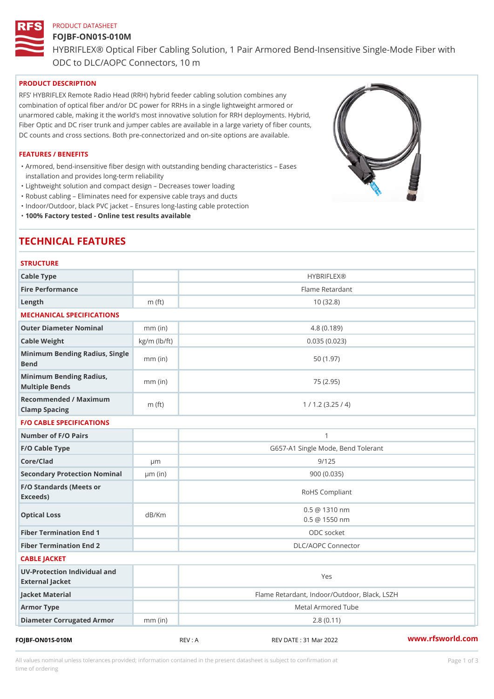# PRODUCT DATASHEET FOJBF-ON01S-010M HYBRIFLEX® Optical Fiber Cabling Solution, 1 Pair Armored Bend-Inse ODC to DLC/AOPC Connectors, 10 m

#### PRODUCT DESCRIPTION

RFS HYBRIFLEX Remote Radio Head (RRH) hybrid feeder cabling solution combines any combination of optical fiber and/or DC power for RRHs in a single lightweight armored or unarmored cable, making it the world s most innovative solution for RRH deployments. Hybrid, Fiber Optic and DC riser trunk and jumper cables are available in a large variety of fiber counts, DC counts and cross sections. Both pre-connectorized and on-site options are available.

#### FEATURES / BENEFITS

Armored, bend-insensitive fiber design with outstanding bending characteristics Eases " installation and provides long-term reliability

"Lightweight solution and compact design Decreases tower loading

"Robust cabling Eliminates need for expensive cable trays and ducts

"Indoor/Outdoor, black PVC jacket Ensures long-lasting cable protection

"100% Factory tested - Online test results available

# TECHNICAL FEATURES

| <b>STRUCTURE</b>                                  |                    |                                                |
|---------------------------------------------------|--------------------|------------------------------------------------|
| Cable Type                                        |                    | <b>HYBRIFLEX®</b>                              |
| Fire Performance                                  |                    | Flame Retardant                                |
| $L$ ength                                         | $m$ (ft)           | 10(32.8)                                       |
| MECHANICAL SPECIFICATIONS                         |                    |                                                |
| Outer Diameter Nominal                            | $mm$ (in)          | 4.8(0.189)                                     |
| Cable Weight                                      | $kg/m$ ( $lb/ft$ ) | 0.035(0.023)                                   |
| Minimum Bending Radius, Single<br>mm (in)<br>Bend |                    | 50(1.97)                                       |
| Minimum Bending Radius, mm (in)<br>Multiple Bends |                    | 75 (2.95)                                      |
| Recommended / Maximum<br>Clamp Spacing            | $m$ (ft)           | 1 / 1.2 (3.25 / 4)                             |
| <b>F/O CABLE SPECIFICATIONS</b>                   |                    |                                                |
| Number of F/O Pairs                               |                    | $\mathbf{1}$                                   |
| F/O Cable Type                                    |                    | G657-A1 Single Mode, Bend Tolerant             |
| Core/Clad                                         | $\mu$ m            | 9/125                                          |
| Secondary Protection Nomimal(in)                  |                    | 900(0.035)                                     |
| F/O Standards (Meets or<br>Exceeds)               |                    | RoHS Compliant                                 |
| Optical Loss                                      | dB/Km              | $0.5 \ @ \ 1310 \ nm$<br>$0.5 \ @ \ 1550 \ nm$ |
| Fiber Termination End                             |                    | ODC socket                                     |
| Fiber Termination End 2                           |                    | DLC/AOPC Connector                             |
| CABLE JACKET                                      |                    |                                                |
| UV-Protection Individual and<br>External Jacket   |                    | Yes                                            |
| Jacket Material                                   |                    | Flame Retardant, Indoor/Outdoor, Black, LSZH   |
| Armor Type                                        |                    | Metal Armored Tube                             |
| Diameter Corrugated Armomm (in)                   |                    | 2.8(0.11)                                      |
|                                                   |                    |                                                |

FOJBF-ON01S-010M REV : A REV DATE : 31 Mar 2022 [www.](https://www.rfsworld.com)rfsworld.com

All values nominal unless tolerances provided; information contained in the present datasheet is subject to Pcapgeign mation time of ordering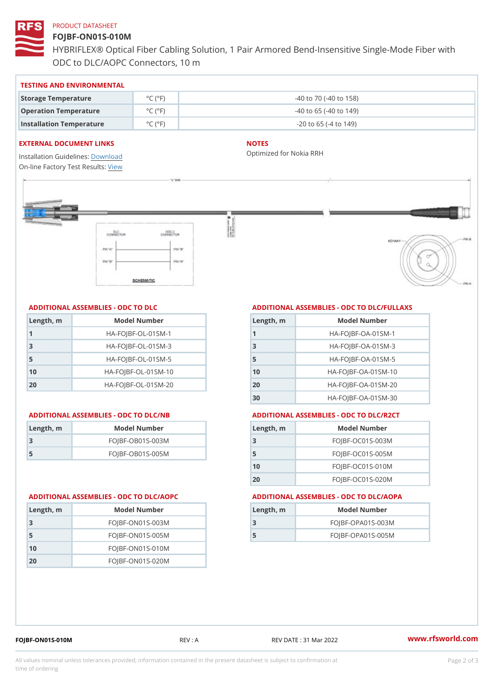### PRODUCT DATASHEET

# FOJBF-ON01S-010M

HYBRIFLEX® Optical Fiber Cabling Solution, 1 Pair Armored Bend-Inse ODC to DLC/AOPC Connectors, 10 m

#### TESTING AND ENVIRONMENTAL

| Storage Temperature              | $^{\circ}$ C ( $^{\circ}$ F $\vert$ | $-40$ to $70$ ( $-40$ to $158$ ) |
|----------------------------------|-------------------------------------|----------------------------------|
| Operation Temperature            | $^{\circ}$ C ( $^{\circ}$ F $\vert$ | $-40$ to 65 ( $-40$ to 149)      |
| Installation Temperature °C (°F) |                                     | $-20$ to 65 ( $-4$ to 149)       |

#### EXTERNAL DOCUMENT LINKS

Installation Guidelwinessad On-line Factory Te[s](https://www.rfsworld.com/pictures/userfiles/programs/AAST Latest Version.zip)teResults:

#### NOTES

Optimized for Nokia RRH

## ADDITIONAL ASSEMBLIES - ODC TO DLC

| Length, m | Model Number                   |
|-----------|--------------------------------|
| 1         | $HA - FOJBF - OL - 01SM - 1$   |
| -3        | $HA-FOJBF-OL-01SM-3$           |
| -5        | $HA - FOJBF - OL - 01SM - 5$   |
| 10        | $HA - FOJBF - O L - 01SM - 10$ |
| 20        | $HA - FOJBF - O L - 01SM - 20$ |

| Length, m | Model Number       |
|-----------|--------------------|
| 3         | $FOJBF-OBO1S-OO3M$ |
| .5        | $FOJBF-OBO1S-OO5M$ |

# ADDITIONAL ASSEMBLIES - ODC TO DLC/FULLAXS

| Length, m      | Model Number                  |
|----------------|-------------------------------|
|                | $HA - FOJBF - OA - 01SM - 1$  |
| 3              | $HA - FOJBF - OA - 01SM - B$  |
| 5              | $HA - FOJBF - OA - 01SM - 5$  |
| 1 <sub>0</sub> | $HA - FOJBF - OA - 01SM - 10$ |
| 20             | $HA - FOJBF - OA - 01SM - 20$ |
| 30             | HA-FOJBF-OA-01SM-30           |

#### ADDITIONAL ASSEMBLIES - ODC TO DLC/NB ADDITIONAL ASSEMBLIES - ODC TO DLC/R2CT

| Length, m | Model Number       |
|-----------|--------------------|
| - 3       | FOJBF-OC01S-003M   |
| 5         | $FOJBF-OCO1S-005M$ |
| 10        | $FOJBF-OCO1S-010M$ |
| 20        | FOJBF-OC01S-020M   |

#### ADDITIONAL ASSEMBLIES - ODC TO DLC/AOPC ADDITIONAL ASSEMBLIES - ODC TO DLC/AOPA

| Length, m | Model Number        |
|-----------|---------------------|
|           | $FOJBF-OPAO1S-003M$ |
| 5         | $FOJBF-OPAO1S-005M$ |
|           |                     |

| Length, m      | Model Number       |
|----------------|--------------------|
| -3             | $FOJBF-ONO1S-003M$ |
| -5             | $FOJBF-ONO1S-005M$ |
| 1 <sub>0</sub> | $FOJBF-ON01S-010M$ |
| -20            | FOJBF-ON01S-020M   |

FOJBF-ON01S-010M REV : A REV DATE : 31 Mar 2022 [www.](https://www.rfsworld.com)rfsworld.com

All values nominal unless tolerances provided; information contained in the present datasheet is subject to Pcapgelio an atio time of ordering